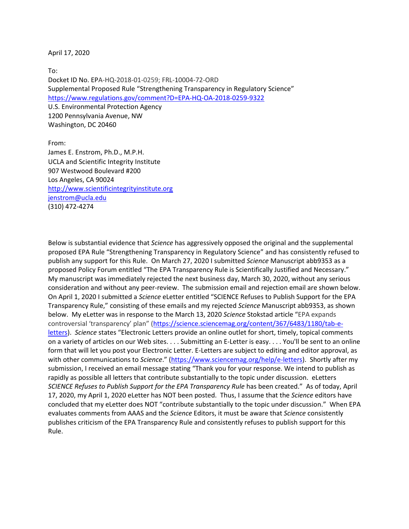April 17, 2020

To: Docket ID No. EPA-HQ-2018-01-0259; FRL-10004-72-ORD Supplemental Proposed Rule "Strengthening Transparency in Regulatory Science" <https://www.regulations.gov/comment?D=EPA-HQ-OA-2018-0259-9322> U.S. Environmental Protection Agency 1200 Pennsylvania Avenue, NW Washington, DC 20460

From: James E. Enstrom, Ph.D., M.P.H. UCLA and Scientific Integrity Institute 907 Westwood Boulevard #200 Los Angeles, CA 90024 [http://www.scientificintegrityinstitute.org](http://www.scientificintegrityinstitute.org/) [jenstrom@ucla.edu](mailto:jenstrom@ucla.edu) (310) 472-4274

Below is substantial evidence that *Science* has aggressively opposed the original and the supplemental proposed EPA Rule "Strengthening Transparency in Regulatory Science" and has consistently refused to publish any support for this Rule. On March 27, 2020 I submitted *Science* Manuscript abb9353 as a proposed Policy Forum entitled "The EPA Transparency Rule is Scientifically Justified and Necessary." My manuscript was immediately rejected the next business day, March 30, 2020, without any serious consideration and without any peer-review. The submission email and rejection email are shown below. On April 1, 2020 I submitted a *Science* eLetter entitled "SCIENCE Refuses to Publish Support for the EPA Transparency Rule," consisting of these emails and my rejected *Science* Manuscript abb9353, as shown below. My eLetter was in response to the March 13, 2020 *Science* Stokstad article "EPA expands controversial 'transparency' plan" ([https://science.sciencemag.org/content/367/6483/1180/tab-e](https://science.sciencemag.org/content/367/6483/1180/tab-e-letters)[letters\)](https://science.sciencemag.org/content/367/6483/1180/tab-e-letters). *Science* states "Electronic Letters provide an online outlet for short, timely, topical comments on a variety of articles on our Web sites. . . . Submitting an E-Letter is easy. . . . You'll be sent to an online form that will let you post your Electronic Letter. E-Letters are subject to editing and editor approval, as with other communications to *Science*." [\(https://www.sciencemag.org/help/e-letters\)](https://www.sciencemag.org/help/e-letters). Shortly after my submission, I received an email message stating "Thank you for your response. We intend to publish as rapidly as possible all letters that contribute substantially to the topic under discussion. eLetters *SCIENCE Refuses to Publish Support for the EPA Transparency Rule* has been created." As of today, April 17, 2020, my April 1, 2020 eLetter has NOT been posted. Thus, I assume that the *Science* editors have concluded that my eLetter does NOT "contribute substantially to the topic under discussion." When EPA evaluates comments from AAAS and the *Science* Editors, it must be aware that *Science* consistently publishes criticism of the EPA Transparency Rule and consistently refuses to publish support for this Rule.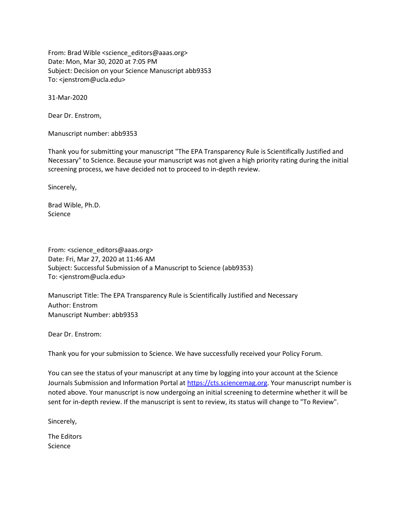From: Brad Wible <science\_editors@aaas.org> Date: Mon, Mar 30, 2020 at 7:05 PM Subject: Decision on your Science Manuscript abb9353 To: <jenstrom@ucla.edu>

31-Mar-2020

Dear Dr. Enstrom,

Manuscript number: abb9353

Thank you for submitting your manuscript "The EPA Transparency Rule is Scientifically Justified and Necessary" to Science. Because your manuscript was not given a high priority rating during the initial screening process, we have decided not to proceed to in-depth review.

Sincerely,

Brad Wible, Ph.D. Science

From: <science\_editors@aaas.org> Date: Fri, Mar 27, 2020 at 11:46 AM Subject: Successful Submission of a Manuscript to Science (abb9353) To: <jenstrom@ucla.edu>

Manuscript Title: The EPA Transparency Rule is Scientifically Justified and Necessary Author: Enstrom Manuscript Number: abb9353

Dear Dr. Enstrom:

Thank you for your submission to Science. We have successfully received your Policy Forum.

You can see the status of your manuscript at any time by logging into your account at the Science Journals Submission and Information Portal at [https://cts.sciencemag.org.](https://cts.sciencemag.org/) Your manuscript number is noted above. Your manuscript is now undergoing an initial screening to determine whether it will be sent for in-depth review. If the manuscript is sent to review, its status will change to "To Review".

Sincerely,

The Editors Science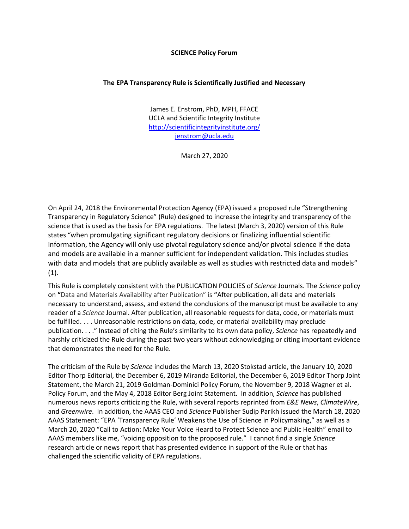## **SCIENCE Policy Forum**

## **The EPA Transparency Rule is Scientifically Justified and Necessary**

James E. Enstrom, PhD, MPH, FFACE UCLA and Scientific Integrity Institute <http://scientificintegrityinstitute.org/> [jenstrom@ucla.edu](mailto:jenstrom@ucla.edu)

March 27, 2020

On April 24, 2018 the Environmental Protection Agency (EPA) issued a proposed rule "Strengthening Transparency in Regulatory Science" (Rule) designed to increase the integrity and transparency of the science that is used as the basis for EPA regulations. The latest (March 3, 2020) version of this Rule states "when promulgating significant regulatory decisions or finalizing influential scientific information, the Agency will only use pivotal regulatory science and/or pivotal science if the data and models are available in a manner sufficient for independent validation. This includes studies with data and models that are publicly available as well as studies with restricted data and models"  $(1).$ 

This Rule is completely consistent with the PUBLICATION POLICIES of *Science* Journals. The *Science* policy on **"**Data and Materials Availability after Publication" is **"**After publication, all data and materials necessary to understand, assess, and extend the conclusions of the manuscript must be available to any reader of a *Science* Journal. After publication, all reasonable requests for data, code, or materials must be fulfilled. . . . Unreasonable restrictions on data, code, or material availability may preclude publication. . . ." Instead of citing the Rule's similarity to its own data policy, *Science* has repeatedly and harshly criticized the Rule during the past two years without acknowledging or citing important evidence that demonstrates the need for the Rule.

The criticism of the Rule by *Science* includes the March 13, 2020 Stokstad article, the January 10, 2020 Editor Thorp Editorial, the December 6, 2019 Miranda Editorial, the December 6, 2019 Editor Thorp Joint Statement, the March 21, 2019 Goldman-Dominici Policy Forum, the November 9, 2018 Wagner et al. Policy Forum, and the May 4, 2018 Editor Berg Joint Statement. In addition, *Science* has published numerous news reports criticizing the Rule, with several reports reprinted from *E&E News*, *ClimateWire*, and *Greenwire*. In addition, the AAAS CEO and *Science* Publisher Sudip Parikh issued the March 18, 2020 AAAS Statement: "EPA 'Transparency Rule' Weakens the Use of Science in Policymaking," as well as a March 20, 2020 "Call to Action: Make Your Voice Heard to Protect Science and Public Health" email to AAAS members like me, "voicing opposition to the proposed rule." I cannot find a single *Science* research article or news report that has presented evidence in support of the Rule or that has challenged the scientific validity of EPA regulations.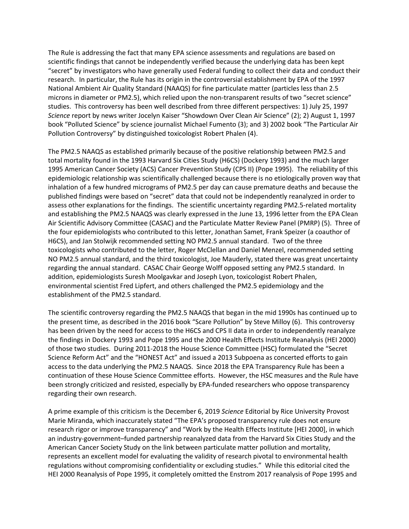The Rule is addressing the fact that many EPA science assessments and regulations are based on scientific findings that cannot be independently verified because the underlying data has been kept "secret" by investigators who have generally used Federal funding to collect their data and conduct their research. In particular, the Rule has its origin in the controversial establishment by EPA of the 1997 National Ambient Air Quality Standard (NAAQS) for fine particulate matter (particles less than 2.5 microns in diameter or PM2.5), which relied upon the non-transparent results of two "secret science" studies. This controversy has been well described from three different perspectives: 1) July 25, 1997 *Science* report by news writer Jocelyn Kaiser "Showdown Over Clean Air Science" (2); 2) August 1, 1997 book "Polluted Science" by science journalist Michael Fumento (3); and 3) 2002 book "The Particular Air Pollution Controversy" by distinguished toxicologist Robert Phalen (4).

The PM2.5 NAAQS as established primarily because of the positive relationship between PM2.5 and total mortality found in the 1993 Harvard Six Cities Study (H6CS) (Dockery 1993) and the much larger 1995 American Cancer Society (ACS) Cancer Prevention Study (CPS II) (Pope 1995). The reliability of this epidemiologic relationship was scientifically challenged because there is no etiologically proven way that inhalation of a few hundred micrograms of PM2.5 per day can cause premature deaths and because the published findings were based on "secret" data that could not be independently reanalyzed in order to assess other explanations for the findings. The scientific uncertainty regarding PM2.5-related mortality and establishing the PM2.5 NAAQS was clearly expressed in the June 13, 1996 letter from the EPA Clean Air Scientific Advisory Committee (CASAC) and the Particulate Matter Review Panel (PMRP) (5). Three of the four epidemiologists who contributed to this letter, Jonathan Samet, Frank Speizer (a coauthor of H6CS), and Jan Stolwijk recommended setting NO PM2.5 annual standard. Two of the three toxicologists who contributed to the letter, Roger McClellan and Daniel Menzel, recommended setting NO PM2.5 annual standard, and the third toxicologist, Joe Mauderly, stated there was great uncertainty regarding the annual standard. CASAC Chair George Wolff opposed setting any PM2.5 standard. In addition, epidemiologists Suresh Moolgavkar and Joseph Lyon, toxicologist Robert Phalen, environmental scientist Fred Lipfert, and others challenged the PM2.5 epidemiology and the establishment of the PM2.5 standard.

The scientific controversy regarding the PM2.5 NAAQS that began in the mid 1990s has continued up to the present time, as described in the 2016 book "Scare Pollution" by Steve Milloy (6). This controversy has been driven by the need for access to the H6CS and CPS II data in order to independently reanalyze the findings in Dockery 1993 and Pope 1995 and the 2000 Health Effects Institute Reanalysis (HEI 2000) of those two studies. During 2011-2018 the House Science Committee (HSC) formulated the "Secret Science Reform Act" and the "HONEST Act" and issued a 2013 Subpoena as concerted efforts to gain access to the data underlying the PM2.5 NAAQS. Since 2018 the EPA Transparency Rule has been a continuation of these House Science Committee efforts. However, the HSC measures and the Rule have been strongly criticized and resisted, especially by EPA-funded researchers who oppose transparency regarding their own research.

A prime example of this criticism is the December 6, 2019 *Science* Editorial by Rice University Provost Marie Miranda, which inaccurately stated "The EPA's proposed transparency rule does not ensure research rigor or improve transparency" and "Work by the Health Effects Institute [HEI 2000], in which an industry-government–funded partnership reanalyzed data from the Harvard Six Cities Study and the American Cancer Society Study on the link between particulate matter pollution and mortality, represents an excellent model for evaluating the validity of research pivotal to environmental health regulations without compromising confidentiality or excluding studies." While this editorial cited the HEI 2000 Reanalysis of Pope 1995, it completely omitted the Enstrom 2017 reanalysis of Pope 1995 and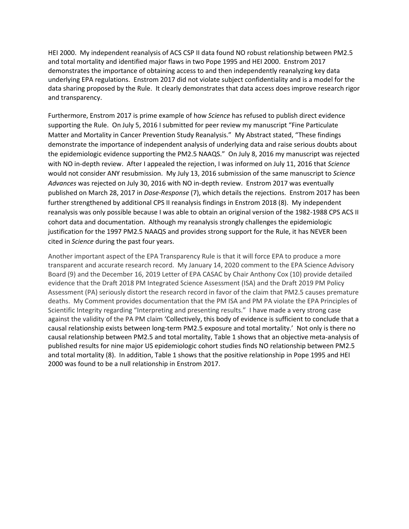HEI 2000. My independent reanalysis of ACS CSP II data found NO robust relationship between PM2.5 and total mortality and identified major flaws in two Pope 1995 and HEI 2000. Enstrom 2017 demonstrates the importance of obtaining access to and then independently reanalyzing key data underlying EPA regulations. Enstrom 2017 did not violate subject confidentiality and is a model for the data sharing proposed by the Rule. It clearly demonstrates that data access does improve research rigor and transparency.

Furthermore, Enstrom 2017 is prime example of how *Science* has refused to publish direct evidence supporting the Rule. On July 5, 2016 I submitted for peer review my manuscript "Fine Particulate Matter and Mortality in Cancer Prevention Study Reanalysis." My Abstract stated, "These findings demonstrate the importance of independent analysis of underlying data and raise serious doubts about the epidemiologic evidence supporting the PM2.5 NAAQS." On July 8, 2016 my manuscript was rejected with NO in-depth review. After I appealed the rejection, I was informed on July 11, 2016 that *Science* would not consider ANY resubmission. My July 13, 2016 submission of the same manuscript to *Science Advances* was rejected on July 30, 2016 with NO in-depth review. Enstrom 2017 was eventually published on March 28, 2017 in *Dose-Response* (7), which details the rejections. Enstrom 2017 has been further strengthened by additional CPS II reanalysis findings in Enstrom 2018 (8). My independent reanalysis was only possible because I was able to obtain an original version of the 1982-1988 CPS ACS II cohort data and documentation. Although my reanalysis strongly challenges the epidemiologic justification for the 1997 PM2.5 NAAQS and provides strong support for the Rule, it has NEVER been cited in *Science* during the past four years.

Another important aspect of the EPA Transparency Rule is that it will force EPA to produce a more transparent and accurate research record. My January 14, 2020 comment to the EPA Science Advisory Board (9) and the December 16, 2019 Letter of EPA CASAC by Chair Anthony Cox (10) provide detailed evidence that the Draft 2018 PM Integrated Science Assessment (ISA) and the Draft 2019 PM Policy Assessment (PA) seriously distort the research record in favor of the claim that PM2.5 causes premature deaths. My Comment provides documentation that the PM ISA and PM PA violate the EPA Principles of Scientific Integrity regarding "Interpreting and presenting results." I have made a very strong case against the validity of the PA PM claim 'Collectively, this body of evidence is sufficient to conclude that a causal relationship exists between long-term PM2.5 exposure and total mortality.' Not only is there no causal relationship between PM2.5 and total mortality, Table 1 shows that an objective meta-analysis of published results for nine major US epidemiologic cohort studies finds NO relationship between PM2.5 and total mortality (8). In addition, Table 1 shows that the positive relationship in Pope 1995 and HEI 2000 was found to be a null relationship in Enstrom 2017.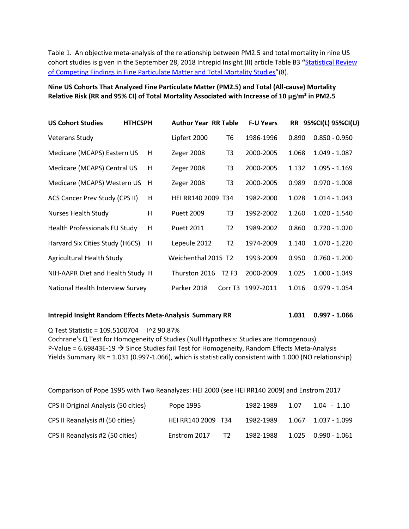Table 1. An objective meta-analysis of the relationship between PM2.5 and total mortality in nine US cohort studies is given in the September 28, 2018 Intrepid Insight (II) article Table B3 **"**[Statistical Review](https://intrepidinsight.com/pm25-statreview/)  [of Competing Findings in Fine Particulate Matter and Total Mortality Studies](https://intrepidinsight.com/pm25-statreview/)"(8).

**Nine US Cohorts That Analyzed Fine Particulate Matter (PM2.5) and Total (All-cause) Mortality Relative Risk (RR and 95% CI) of Total Mortality Associated with Increase of 10 μg/m³ in PM2.5**

| <b>US Cohort Studies</b>              | <b>HTHCSPH</b> | <b>Author Year RR Table</b> |                               | <b>F-U Years</b> |       | RR 95%CI(L) 95%CI(U) |
|---------------------------------------|----------------|-----------------------------|-------------------------------|------------------|-------|----------------------|
| <b>Veterans Study</b>                 |                | Lipfert 2000                | Т6                            | 1986-1996        | 0.890 | $0.850 - 0.950$      |
| Medicare (MCAPS) Eastern US           | H              | Zeger 2008                  | T3                            | 2000-2005        | 1.068 | $1.049 - 1.087$      |
| Medicare (MCAPS) Central US           | H              | Zeger 2008                  | T3                            | 2000-2005        | 1.132 | $1.095 - 1.169$      |
| Medicare (MCAPS) Western US           | H              | Zeger 2008                  | T3                            | 2000-2005        | 0.989 | $0.970 - 1.008$      |
| <b>ACS Cancer Prev Study (CPS II)</b> | н              | HEI RR140 2009 T34          |                               | 1982-2000        | 1.028 | $1.014 - 1.043$      |
| <b>Nurses Health Study</b>            | H              | <b>Puett 2009</b>           | T3                            | 1992-2002        | 1.260 | $1.020 - 1.540$      |
| Health Professionals FU Study         | H              | <b>Puett 2011</b>           | T2                            | 1989-2002        | 0.860 | $0.720 - 1.020$      |
| Harvard Six Cities Study (H6CS)       | H              | Lepeule 2012                | T <sub>2</sub>                | 1974-2009        | 1.140 | $1.070 - 1.220$      |
| Agricultural Health Study             |                | Weichenthal 2015 T2         |                               | 1993-2009        | 0.950 | $0.760 - 1.200$      |
| NIH-AAPR Diet and Health Study H      |                | Thurston 2016               | T <sub>2</sub> F <sub>3</sub> | 2000-2009        | 1.025 | $1.000 - 1.049$      |
| National Health Interview Survey      |                | Parker 2018                 | Corr T <sub>3</sub>           | 1997-2011        | 1.016 | $0.979 - 1.054$      |

## **Intrepid Insight Random Effects Meta-Analysis Summary RR 1.031 0.997 - 1.066**

Q Test Statistic = 109.5100704 I^2 90.87% Cochrane's Q Test for Homogeneity of Studies (Null Hypothesis: Studies are Homogenous) P-Value =  $6.69843E-19 \rightarrow$  Since Studies fail Test for Homogeneity, Random Effects Meta-Analysis Yields Summary RR = 1.031 (0.997-1.066), which is statistically consistent with 1.000 (NO relationship)

| Comparison of Pope 1995 with Two Reanalyzes: HEI 2000 (see HEI RR140 2009) and Enstrom 2017 |                                |           |      |             |  |  |  |  |  |
|---------------------------------------------------------------------------------------------|--------------------------------|-----------|------|-------------|--|--|--|--|--|
| CPS II Original Analysis (50 cities)                                                        | Pope 1995                      | 1982-1989 | 1.07 | 1.04 - 1.10 |  |  |  |  |  |
| CPS II Reanalysis #I (50 cities)                                                            | HEI RR140 2009 T34             | 1982-1989 |      |             |  |  |  |  |  |
| CPS II Reanalysis #2 (50 cities)                                                            | T <sub>2</sub><br>Enstrom 2017 | 1982-1988 |      |             |  |  |  |  |  |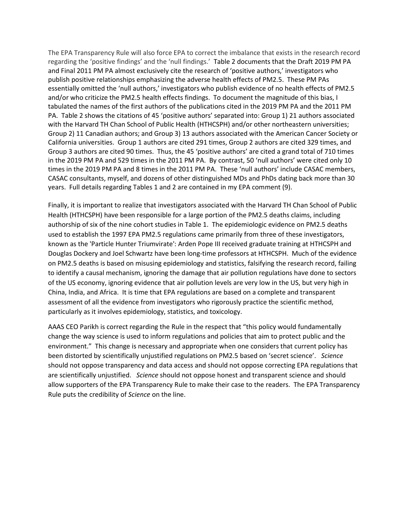The EPA Transparency Rule will also force EPA to correct the imbalance that exists in the research record regarding the 'positive findings' and the 'null findings.' Table 2 documents that the Draft 2019 PM PA and Final 2011 PM PA almost exclusively cite the research of 'positive authors,' investigators who publish positive relationships emphasizing the adverse health effects of PM2.5. These PM PAs essentially omitted the 'null authors,' investigators who publish evidence of no health effects of PM2.5 and/or who criticize the PM2.5 health effects findings. To document the magnitude of this bias, I tabulated the names of the first authors of the publications cited in the 2019 PM PA and the 2011 PM PA. Table 2 shows the citations of 45 'positive authors' separated into: Group 1) 21 authors associated with the Harvard TH Chan School of Public Health (HTHCSPH) and/or other northeastern universities; Group 2) 11 Canadian authors; and Group 3) 13 authors associated with the American Cancer Society or California universities. Group 1 authors are cited 291 times, Group 2 authors are cited 329 times, and Group 3 authors are cited 90 times. Thus, the 45 'positive authors' are cited a grand total of 710 times in the 2019 PM PA and 529 times in the 2011 PM PA. By contrast, 50 'null authors' were cited only 10 times in the 2019 PM PA and 8 times in the 2011 PM PA. These 'null authors' include CASAC members, CASAC consultants, myself, and dozens of other distinguished MDs and PhDs dating back more than 30 years. Full details regarding Tables 1 and 2 are contained in my EPA comment (9).

Finally, it is important to realize that investigators associated with the Harvard TH Chan School of Public Health (HTHCSPH) have been responsible for a large portion of the PM2.5 deaths claims, including authorship of six of the nine cohort studies in Table 1. The epidemiologic evidence on PM2.5 deaths used to establish the 1997 EPA PM2.5 regulations came primarily from three of these investigators, known as the 'Particle Hunter Triumvirate': Arden Pope III received graduate training at HTHCSPH and Douglas Dockery and Joel Schwartz have been long-time professors at HTHCSPH. Much of the evidence on PM2.5 deaths is based on misusing epidemiology and statistics, falsifying the research record, failing to identify a causal mechanism, ignoring the damage that air pollution regulations have done to sectors of the US economy, ignoring evidence that air pollution levels are very low in the US, but very high in China, India, and Africa. It is time that EPA regulations are based on a complete and transparent assessment of all the evidence from investigators who rigorously practice the scientific method, particularly as it involves epidemiology, statistics, and toxicology.

AAAS CEO Parikh is correct regarding the Rule in the respect that "this policy would fundamentally change the way science is used to inform regulations and policies that aim to protect public and the environment." This change is necessary and appropriate when one considers that current policy has been distorted by scientifically unjustified regulations on PM2.5 based on 'secret science'. *Science* should not oppose transparency and data access and should not oppose correcting EPA regulations that are scientifically unjustified. *Science* should not oppose honest and transparent science and should allow supporters of the EPA Transparency Rule to make their case to the readers. The EPA Transparency Rule puts the credibility of *Science* on the line.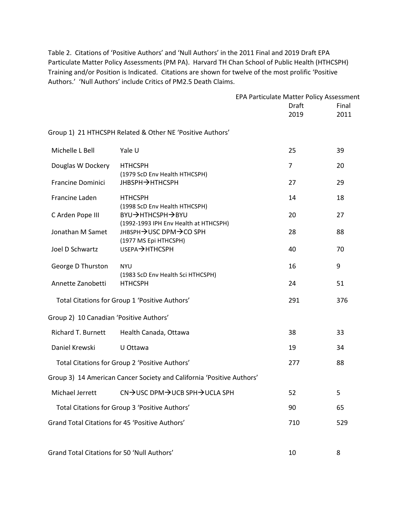Table 2. Citations of 'Positive Authors' and 'Null Authors' in the 2011 Final and 2019 Draft EPA Particulate Matter Policy Assessments (PM PA). Harvard TH Chan School of Public Health (HTHCSPH) Training and/or Position is Indicated. Citations are shown for twelve of the most prolific 'Positive Authors.' 'Null Authors' include Critics of PM2.5 Death Claims.

|                                             |                                                                       | EPA Particulate Matter Policy Assessment |  |       |
|---------------------------------------------|-----------------------------------------------------------------------|------------------------------------------|--|-------|
|                                             |                                                                       | <b>Draft</b>                             |  | Final |
|                                             |                                                                       | 2019                                     |  | 2011  |
|                                             | Group 1) 21 HTHCSPH Related & Other NE 'Positive Authors'             |                                          |  |       |
| Michelle L Bell                             | Yale U                                                                | 25                                       |  | 39    |
| Douglas W Dockery                           | <b>HTHCSPH</b><br>(1979 ScD Env Health HTHCSPH)                       | $\overline{7}$                           |  | 20    |
| <b>Francine Dominici</b>                    | <b>JHBSPH→HTHCSPH</b>                                                 | 27                                       |  | 29    |
| Francine Laden                              | <b>HTHCSPH</b><br>(1998 ScD Env Health HTHCSPH)                       | 14                                       |  | 18    |
| C Arden Pope III                            | BYU→HTHCSPH→BYU<br>(1992-1993 IPH Env Health at HTHCSPH)              | 20                                       |  | 27    |
| Jonathan M Samet                            | JHBSPH→USC DPM→CO SPH                                                 | 28                                       |  | 88    |
| Joel D Schwartz                             | (1977 MS Epi HTHCSPH)<br>USEPA→HTHCSPH                                | 40                                       |  | 70    |
| George D Thurston                           | <b>NYU</b>                                                            | 16                                       |  | 9     |
| Annette Zanobetti                           | (1983 ScD Env Health Sci HTHCSPH)<br><b>HTHCSPH</b>                   | 24                                       |  | 51    |
|                                             | Total Citations for Group 1 'Positive Authors'                        | 291                                      |  | 376   |
| Group 2) 10 Canadian 'Positive Authors'     |                                                                       |                                          |  |       |
| <b>Richard T. Burnett</b>                   | Health Canada, Ottawa                                                 | 38                                       |  | 33    |
| Daniel Krewski                              | U Ottawa                                                              | 19                                       |  | 34    |
|                                             | Total Citations for Group 2 'Positive Authors'                        | 277                                      |  | 88    |
|                                             | Group 3) 14 American Cancer Society and California 'Positive Authors' |                                          |  |       |
| Michael Jerrett                             | CN→USC DPM→UCB SPH→UCLA SPH                                           | 52                                       |  | 5.    |
|                                             | Total Citations for Group 3 'Positive Authors'                        | 90                                       |  | 65    |
|                                             | Grand Total Citations for 45 'Positive Authors'                       | 710                                      |  | 529   |
| Grand Total Citations for 50 'Null Authors' |                                                                       | 10                                       |  | 8     |